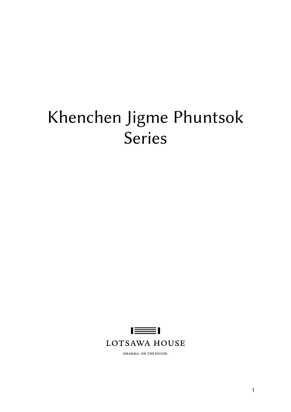# Khenchen Jigme Phuntsok Series

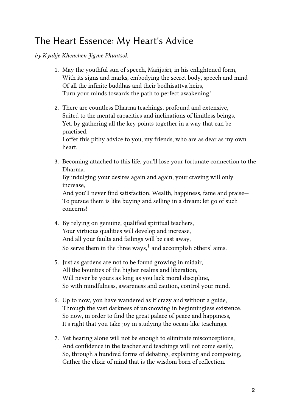#### The Heart Essence: My Heart's Advice

by Kyabje Khenchen Jigme Phuntsok

- 1. May the youthful sun of speech, Mañjuśrī, in his enlightened form, With its signs and marks, embodying the secret body, speech and mind Of all the infinite buddhas and their bodhisattva heirs, Turn your minds towards the path to perfect awakening!
- 2. There are countless Dharma teachings, profound and extensive, Suited to the mental capacities and inclinations of limitless beings, Yet, by gathering all the key points together in a way that can be practised,

I offer this pithy advice to you, my friends, who are as dear as my own heart.

- 3. Becoming attached to this life, you'll lose your fortunate connection to the Dharma. By indulging your desires again and again, your craving will only increase, And you'll never find satisfaction. Wealth, happiness, fame and praise— To pursue them is like buying and selling in a dream: let go of such concerns!
- 4. By relying on genuine, qualified spiritual teachers, Your virtuous qualities will develop and increase, And all your faults and failings will be cast away, So serve them in the three ways, $<sup>1</sup>$  $<sup>1</sup>$  $<sup>1</sup>$  and accomplish others' aims.</sup>
- 5. Just as gardens are not to be found growing in midair, All the bounties of the higher realms and liberation, Will never be yours as long as you lack moral discipline, So with mindfulness, awareness and caution, control your mind.
- 6. Up to now, you have wandered as if crazy and without a guide, Through the vast darkness of unknowing in beginningless existence. So now, in order to find the great palace of peace and happiness, It's right that you take joy in studying the ocean-like teachings.
- 7. Yet hearing alone will not be enough to eliminate misconceptions, And confidence in the teacher and teachings will not come easily, So, through a hundred forms of debating, explaining and composing, Gather the elixir of mind that is the wisdom born of reflection.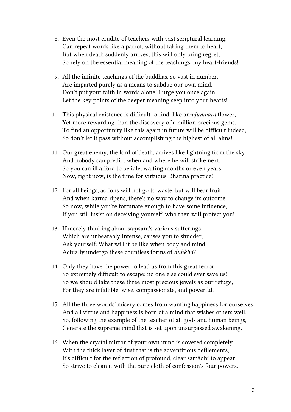- 8. Even the most erudite of teachers with vast scriptural learning, Can repeat words like a parrot, without taking them to heart, But when death suddenly arrives, this will only bring regret, So rely on the essential meaning of the teachings, my heart-friends!
- 9. All the infinite teachings of the buddhas, so vast in number, Are imparted purely as a means to subdue our own mind. Don't put your faith in words alone! I urge you once again: Let the key points of the deeper meaning seep into your hearts!
- 10. This physical existence is difficult to find, like anuḍumbara flower, Yet more rewarding than the discovery of a million precious gems. To find an opportunity like this again in future will be difficult indeed, So don't let it pass without accomplishing the highest of all aims!
- 11. Our great enemy, the lord of death, arrives like lightning from the sky, And nobody can predict when and where he will strike next. So you can ill afford to be idle, waiting months or even years. Now, right now, is the time for virtuous Dharma practice!
- 12. For all beings, actions will not go to waste, but will bear fruit, And when karma ripens, there's no way to change its outcome. So now, while you're fortunate enough to have some influence, If you still insist on deceiving yourself, who then will protect you!
- 13. If merely thinking about saṃsāra's various sufferings, Which are unbearably intense, causes you to shudder, Ask yourself: What will it be like when body and mind Actually undergo these countless forms of duḥkha?
- 14. Only they have the power to lead us from this great terror, So extremely difficult to escape: no one else could ever save us! So we should take these three most precious jewels as our refuge, For they are infallible, wise, compassionate, and powerful.
- 15. All the three worlds' misery comes from wanting happiness for ourselves, And all virtue and happiness is born of a mind that wishes others well. So, following the example of the teacher of all gods and human beings, Generate the supreme mind that is set upon unsurpassed awakening.
- 16. When the crystal mirror of your own mind is covered completely With the thick layer of dust that is the adventitious defilements, It's difficult for the reflection of profound, clear samādhi to appear, So strive to clean it with the pure cloth of confession's four powers.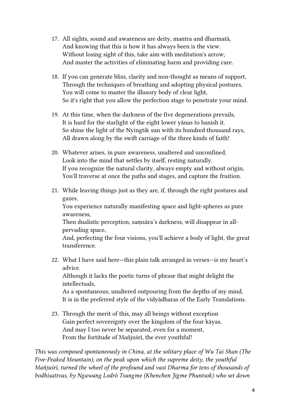- 17. All sights, sound and awareness are deity, mantra and dharmatā, And knowing that this is how it has always been is the view. Without losing sight of this, take aim with meditation's arrow, And master the activities of eliminating harm and providing care.
- 18. If you can generate bliss, clarity and non-thought as means of support, Through the techniques of breathing and adopting physical postures, You will come to master the illusory body of clear light, So it's right that you allow the perfection stage to penetrate your mind.
- 19. At this time, when the darkness of the five degenerations prevails, It is hard for the starlight of the eight lower yānas to banish it. So shine the light of the Nyingtik sun with its hundred thousand rays, All drawn along by the swift carriage of the three kinds of faith!
- 20. Whatever arises, in pure awareness, unaltered and unconfined, Look into the mind that settles by itself, resting naturally. If you recognize the natural clarity, always empty and without origin, You'll traverse at once the paths and stages, and capture the fruition.
- 21. While leaving things just as they are, if, through the right postures and gazes, You experience naturally manifesting space and light-spheres as pure awareness, Then dualistic perception, saṃsāra's darkness, will disappear in allpervading space, And, perfecting the four visions, you'll achieve a body of light, the great transference. 22. What I have said here—this plain talk arranged in verses—is my heart's advice.

Although it lacks the poetic turns of phrase that might delight the intellectuals,

As a spontaneous, unaltered outpouring from the depths of my mind, It is in the preferred style of the vidyādharas of the Early Translations.

23. Through the merit of this, may all beings without exception Gain perfect sovereignty over the kingdom of the four kāyas, And may I too never be separated, even for a moment, From the fortitude of Mañjuśrī, the ever youthful!

This was composed spontaneously in China, at the solitary place of Wu Tai Shan (The Five-Peaked Mountain), on the peak upon which the supreme deity, the youthful Mañjuśrī, turned the wheel of the profound and vast Dharma for tens of thousands of bodhisattvas, by Ngawang Lodrö Tsungme (Khenchen Jigme Phuntsok) who set down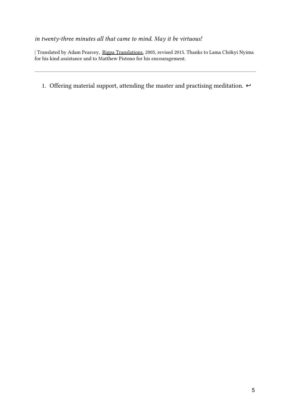#### in twenty-three minutes all that came to mind. May it be virtuous!

| Translated by Adam Pearcey, Rigpa [Translations](http://www.rigpatranslations.org/), 2005, revised 2015. Thanks to Lama Chökyi Nyima for his kind assistance and to Matthew Pistono for his encouragement.

1. Offering material support, attending the master and practising meditation.  $\leftrightarrow$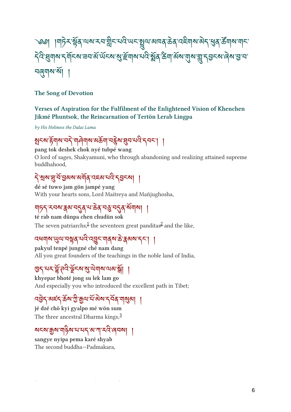# ༄༅། །གར་ ོ ན་ལས་རབ་ ི ང་པ་ཡང་ལ་མཁན་ན་འགས་ད་ན་ཚོ གས་གང་ The stall of the state of the state of the state of the state of the state of the state of the state of the st <u> ସ</u>୍ତ୍ୟାବ୍ୟ |

#### The Song of Devotion

#### Verses of Aspiration for the Fulfilment of the Enlightened Vision of Khenchen Jikmé Phuntsok, the Reincarnation of Tertön Lerab Lingpa

by His Holiness the Dalai Lama

#### र्अन्य हेमीय नई गोर्मिनीय अकर्मा नईस सेन नेतर नेतर | |

pang tok deshek chok nyé tubpé wang O lord of sages, Shakyamuni, who through abandoning and realizing attained supreme buddhahood,

#### १३२३८२३२२२३ २२८८ २२

dé sé tuwo jam gön jampé yang With your hearts sons, Lord Maitreya and Mañjughosha,

#### ا العالمين في إيجابي في المهام في المعام المساحر الم

té rab nam dünpa chen chudün sok The seven patriarchs, $\frac{1}{2}$  $\frac{1}{2}$  $\frac{1}{2}$  $\frac{1}{2}$  $\frac{1}{2}$  the seventeen great panditas $\frac{2}{3}$  and the like,

# ব্ৰধমাৰ অ্যান কৰা ব্ৰিং এই বিধ্বস্থা প্ৰতি কৰি প্ৰতি কৰি প্ৰতি কৰি প্ৰতি কৰি কৰি প্ৰতি কৰি প্ৰতি ক

pakyul tenpé jungné ché nam dang All you great founders of the teachings in the noble land of India,

#### ลี่ 173 ให้ รีราช สิ้นปอง 31 |

khyepar bhoté jong su lek lam go And especially you who introduced the excellent path in Tibet;

#### เรลิ่ : ตะปุตุซาติ มิตา ยุตุซาปุตุ แล้ว | |

jé dzé chö kyi gyalpo mé wön sum The three ancestral Dharma kings,<sup>[3](#ref3)</sup>

#### ষহম'ক্কুম'মাৡঁম'ম'মহ'ম'শা'়্মন্নি'ৰেনমা ।

sangye nyipa pema karé shyab The second buddha—Padmakara,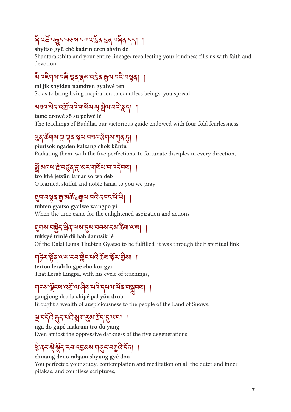# $\sim$  الم $\sim$ لالي المعروب المعروب لمائي المعروب المعروب المعروب

#### shyitso gyü ché kadrin dren shyin dé

Shantarakshita and your entire lineage: recollecting your kindness fills us with faith and devotion.

# <u>बादह्याबासलायुर्वार्क्सिक्सिकामारास्थ्रवा ।</u>

mi jik shyiden namdren gyalwé ten So as to bring living inspiration to countless beings, you spread

### <u>અધવ અને હત્રી નવ નોચએ જે એના નવ છે | |</u>

tamé drowé sö su pelwé lé The teachings of Buddha, our victorious guide endowed with four-fold fearlessness,

#### ३१ कर्णय से रूप सेता नवर बनाय गी है। ।

püntsok ngaden kalzang chok küntu Radiating them, with the five perfections, to fortunate disciples in every direction,

### त्र वाग्य है तरीय भूजान तो पाउरी या ।

tro khé jetsün lamar solwa deb O learned, skilful and noble lama, to you we pray.

### त्रुप नञ्जैर्षे यु अर्क ग्रेयी.तार र्ननट न ली |

tubten gyatso gyalwé wangpo yi When the time came for the enlightened aspiration and actions

#### $\mathbb{S}$ মান নস্ত্রী রব নক  $\mathbb{S}$ ন নন্দ কর তমা নকা ।

tukkyé trinlé dü bab damtsik lé Of the Dalai Lama Thubten Gyatso to be fulfilled, it was through their spiritual link

# $\frac{1}{2}$  so  $\frac{1}{2}$   $\frac{1}{2}$   $\frac{1}{2}$   $\frac{1}{2}$   $\frac{1}{2}$   $\frac{1}{2}$   $\frac{1}{2}$   $\frac{1}{2}$   $\frac{1}{2}$   $\frac{1}{2}$

tertön lerab lingpé chö kor gyi That Lerab Lingpa, with his cycle of teachings,

# ୩८९ ईरु देखाउँ मान्ने सम्राटक र नगर ले रेज्नैनन।

gangjong dro la shipé pal yön drub Brought a wealth of auspiciousness to the people of the Land of Snows.

#### $\mathbb{E}$   $\mathbb{E}$   $\mathbb{E}$   $\mathbb{E}$   $\mathbb{E}$   $\mathbb{E}$   $\mathbb{E}$   $\mathbb{E}$   $\mathbb{E}$   $\mathbb{E}$   $\mathbb{E}$   $\mathbb{E}$   $\mathbb{E}$   $\mathbb{E}$   $\mathbb{E}$   $\mathbb{E}$   $\mathbb{E}$   $\mathbb{E}$   $\mathbb{E}$   $\mathbb{E}$   $\mathbb{E}$   $\mathbb{E}$   $\mathbb{E}$   $\mathbb{E}$   $\mathbb{$

nga dö güpé makrum trö du yang Even amidst the oppressive darkness of the five degenerations,

# ३. वेर ई ईर रताउनका तलिर त्रील रवी |

#### chinang denö rabjam shyung gyé dön

You perfected your study, contemplation and meditation on all the outer and inner pitakas, and countless scriptures,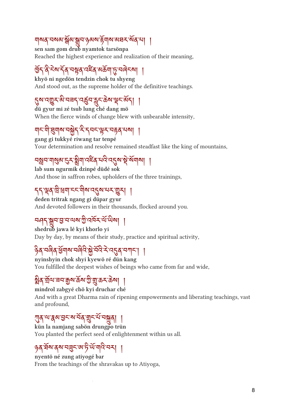#### <u>୶୲୶୶୷ଽ୲ୡ୲୵୲ଌ୲ଽ୲ଌ୲ଌ୲ଌ୲ଽ୲ଌ୲ଌ୲ଌ୲ଌ୲</u>

sen sam gom drub nyamtok tarsönpa Reached the highest experience and realization of their meaning,

### $\frac{1}{2}$  and  $\frac{1}{2}$  and  $\frac{1}{2}$  and  $\frac{1}{2}$

khyö ni ngedön tendzin chok tu shyeng And stood out, as the supreme holder of the definitive teachings.

### १२ उसुर असन् उक्त क्षेत्र क्षेत्र अस्

dü gyur mi zé tsub lung ché dang mö When the fierce winds of change blew with unbearable intensity,

### गरण इणराज्ञ र र रास्कर पहले पत्न |

gang gi tukkyé riwang tar tenpé Your determination and resolve remained steadfast like the king of mountains,

# न्ध्रेन गुलैल 27 ईंगोलच्ये नव देश ई युवाया |

lab sum ngurmik dzinpé düdé sok And those in saffron robes, upholders of the three trainings,

# 773939599 |

deden tritrak ngang gi düpar gyur And devoted followers in their thousands, flocked around you.

#### সম্পূর্ণ ই ন নক এ নেদন ন লক। ।

shedrub jawa lé kyi khorlo yi Day by day, by means of their study, practice and spiritual activity,

#### $\frac{1}{2}$ ର ଧାର୍ବ ସିମାନ ନାର୍ବାଟ କ୍ଷି ନାଟ କାଟ୍ସବ ନା $\frac{1}{2}$

nyinshyin chok shyi kyewö ré dün kang You fulfilled the deepest wishes of beings who came from far and wide,

# %। अब आज नहीं के कहा कि अब अपने पर अपने किया

mindrol zabgyé chö kyi druchar ché And with a great Dharma rain of ripening empowerments and liberating teachings, vast and profound,

#### ीर जयभाव बीर नजर्में |

kün la namjang sabön drungpo trün You planted the perfect seed of enlightenment within us all.

#### sg andersampwelsen |

nyentö né zung atiyogé bar From the teachings of the shravakas up to Atiyoga,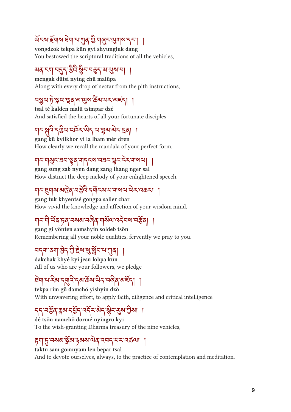# ཡ ོ ངས་ོ གས་ག་པ་ན་ ི་གང་གས་དང༌། །

yongdzok tekpa kün gyi shyungluk dang You bestowed the scriptural traditions of all the vehicles,

#### २१ २१ ३५ ३२ २३१ गयुर्ग म

mengak dütsi nying chü malüpa Along with every drop of nectar from the pith instructions,

#### <u></u>¤ষ্ণুণ'ট়'ষ্ণুণ'শ্ৰম্'ন্থ'ষ্টেম'মশ্মৰ্¤্য |

tsal té kalden malü tsimpar dzé And satisfied the hearts of all your fortunate disciples.

### 15 ตุ ราชนามีขา พรามาริตาม 7.79 |

gang kü kyilkhor yi la lham mér dren How clearly we recall the mandala of your perfect form,

#### གང་གང་ཟབ་ན་གདངས་བཟང་ང་ར་གསལ། །

gang sung zab nyen dang zang lhang nger sal How distinct the deep melody of your enlightened speech,

### નे अनेल अतिथे जस्तर रेनेटिक न ने अन्नतान उपकर्ण ।

gang tuk khyentsé gongpa saller char How vivid the knowledge and affection of your wisdom mind,

# ୩८ ୩ %१ %१ %१ %१ %१ %१ %१ %१ %१ %१ %

gang gi yönten samshyin soldeb tsön Remembering all your noble qualities, fervently we pray to you.

#### བདག་ཅག་ ེ ད་ ི་ ེ ས་་ ོ བ་པ་ན། །

dakchak khyé kyi jesu lobpa kün All of us who are your followers, we pledge

# $\frac{1}{2}$  and  $\frac{1}{2}$  and  $\frac{1}{2}$  and  $\frac{1}{2}$  and  $\frac{1}{2}$

tekpa rim gü damchö yishyin dzö With unwavering effort, to apply faith, diligence and critical intelligence

# JJ 739 ga JSJ 37 aJ 37 39 JaI |

dé tsön namchö dormé nyingrü kyi To the wish-granting Dharma treasury of the nine vehicles,

#### ག་་བསམ་ ོ མ་ཉམས་ན་འབད་པར་འཚལ། །

taktu sam gomnyam len bepar tsal And to devote ourselves, always, to the practice of contemplation and meditation.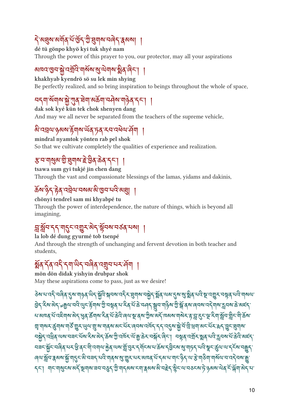# ་མས་མན་པ ོ་ ོ ད་ ི་གས་བད་མས། །

dé tü gönpo khyö kyi tuk shyé nam Through the power of this prayer to you, our protector, may all your aspirations

# આયુર ઉત્ત શ્રુ.હત્રાહનાજી એ જોડવાનીએ કીર્વ હોત્ | |

khakhyab kyendrö sö su lek min shying Be perfectly realized, and so bring inspiration to beings throughout the whole of space,

# <u>२५॥ २९७ से गुल समावल्या २५२ गोलेक २८।</u>

dak sok kyé kün tek chok shenyen dang And may we all never be separated from the teachers of the supreme vehicle,

# ञारञ्चायाञ्ज्ञाञा हेमाञ्चले पुर्वे उत्तादेखाराचेमा |

mindral nyamtok yönten rab pel shok So that we cultivate completely the qualities of experience and realization.

# ३ न गर्थिय ग्री दीन वा इ त्रवे कर्य रोग ।

tsawa sum gyi tukjé jin chen dang Through the vast and compassionate blessings of the lamas, yidams and dakinis,

# क्ष्य ३१ हेर्वु देशियानवर्षे अस्ति नाराजस्री |

#### chönyi tendrel sam mi khyabpé tu

Through the power of interdependence, the nature of things, which is beyond all imagining,

#### ་ ོ བ་དད་གང་འར་ད་ ོ བས་བཙན་པས། །

la lob dé dung gyurmé tob tsenpé And through the strength of unchanging and fervent devotion in both teacher and students,

#### $\mathbb{Z}$ ୶  $\mathbb{Z}$   $\mathbb{Z}$   $\mathbb{Z}$   $\mathbb{Z}$   $\mathbb{Z}$   $\mathbb{Z}$   $\mathbb{Z}$   $\mathbb{Z}$   $\mathbb{Z}$   $\mathbb{Z}$   $\mathbb{Z}$   $\mathbb{Z}$   $\mathbb{Z}$   $\mathbb{Z}$   $\mathbb{Z}$   $\mathbb{Z}$   $\mathbb{Z}$   $\mathbb{Z}$   $\mathbb{Z}$   $\mathbb{Z}$   $\mathbb{Z}$   $\mathbb{Z}$   $\mathbb{Z}$   $\mathbb$

mön dön didak yishyin drubpar shok May these aspirations come to pass, just as we desire!

<u>२२ नार ने नार्वव टैन गोरेव लई भीत भनवाउनेन ईगोल नभैंने अब जब टैंन ले अब अब नार कारतीन नक्ष्वे नार गोवात.</u> <u>37 zu gli nadiyi na iyo khla nada qarada qarakh shahiba nada da da da ay shaha mayi</u> ન આનવે ન હૃદયીએ અને ફ્રેવે ભૂતીએ નવે ન ભૂત હોતા કો વેચ ઊંચ અને 1992 ત્રીઓ ને હે છે કેન કો નતી છેન ઊંનુ ગ્રીન ન ત્રી મીઅને ઉંચીએ તીરું ઊંને ભૈતાની આ નીર્વેએ એને તેને હોતાઓ હોતાને રીર્ગ હરિત એ એ તો તો સેનો વાન વર્ષની ઉંને લગ <u> નર્ગ્રેન તરૂવે તારા નર નર નર નય જાને જ્ય તો તારન તો થી જેને નર્ઝન હોન્ | નર્ઝવે તત્તીન રૂવે નત ધન તારુત જાદન</u>ે جلاح المريح المستمر المستمر المستمر المستمر المستمر المستمر المستمر المستمر المستمر المستمر المستمر المستمر المستمر ৰেণয়ুঁঘ'ৰ্কৰম'ৰ্ক্স'শ্মুন'হত অ'বৰ্ম'মন্ত্ৰী আৰু অ'ৰু' ব্যুম'মেম'আৰু মঁ'নৰ অ'ৰামণ্ট বিশ্ব'ৰাই আৰু অ'ৰামন্ত বি SF] แต่ได้รูปตูด ต่อได้แต่เจน สารส์ โด้แป้งต่อ รูปได้ต่อ สารส์ ซึ่ง เทราจะขาว ซิตต เกิด รามีปุด รี ก